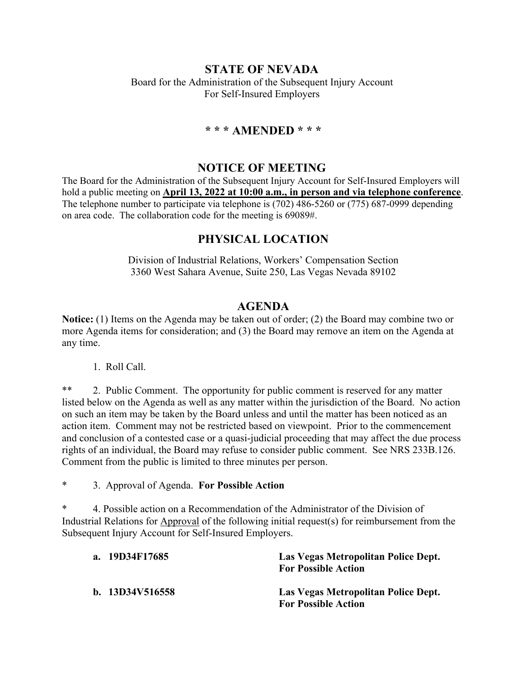# **STATE OF NEVADA**

Board for the Administration of the Subsequent Injury Account For Self-Insured Employers

## **\* \* \* AMENDED \* \* \***

### **NOTICE OF MEETING**

The Board for the Administration of the Subsequent Injury Account for Self-Insured Employers will hold a public meeting on **April 13, 2022 at 10:00 a.m., in person and via telephone conference**. The telephone number to participate via telephone is (702) 486-5260 or (775) 687-0999 depending on area code. The collaboration code for the meeting is 69089#.

# **PHYSICAL LOCATION**

Division of Industrial Relations, Workers' Compensation Section 3360 West Sahara Avenue, Suite 250, Las Vegas Nevada 89102

# **AGENDA**

**Notice:** (1) Items on the Agenda may be taken out of order; (2) the Board may combine two or more Agenda items for consideration; and (3) the Board may remove an item on the Agenda at any time.

1. Roll Call.

\*\* 2. Public Comment. The opportunity for public comment is reserved for any matter listed below on the Agenda as well as any matter within the jurisdiction of the Board. No action on such an item may be taken by the Board unless and until the matter has been noticed as an action item. Comment may not be restricted based on viewpoint. Prior to the commencement and conclusion of a contested case or a quasi-judicial proceeding that may affect the due process rights of an individual, the Board may refuse to consider public comment. See NRS 233B.126. Comment from the public is limited to three minutes per person.

\* 3. Approval of Agenda. **For Possible Action**

\* 4. Possible action on a Recommendation of the Administrator of the Division of Industrial Relations for Approval of the following initial request(s) for reimbursement from the Subsequent Injury Account for Self-Insured Employers.

| a. 19D34F17685    | Las Vegas Metropolitan Police Dept.<br><b>For Possible Action</b> |
|-------------------|-------------------------------------------------------------------|
| b. $13D34V516558$ | Las Vegas Metropolitan Police Dept.<br><b>For Possible Action</b> |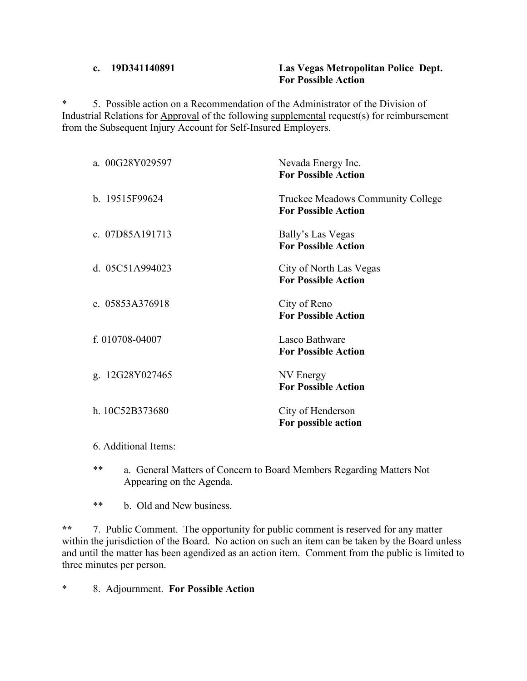#### **c. 19D341140891 Las Vegas Metropolitan Police Dept. For Possible Action**

\* 5. Possible action on a Recommendation of the Administrator of the Division of Industrial Relations for Approval of the following supplemental request(s) for reimbursement from the Subsequent Injury Account for Self-Insured Employers.

| a. 00G28Y029597      | Nevada Energy Inc.<br><b>For Possible Action</b>                |
|----------------------|-----------------------------------------------------------------|
| b. 19515F99624       | Truckee Meadows Community College<br><b>For Possible Action</b> |
| c. 07D85A191713      | Bally's Las Vegas<br><b>For Possible Action</b>                 |
| d. 05C51A994023      | City of North Las Vegas<br><b>For Possible Action</b>           |
| e. 05853A376918      | City of Reno<br><b>For Possible Action</b>                      |
| f. 010708-04007      | Lasco Bathware<br><b>For Possible Action</b>                    |
| g. 12G28Y027465      | NV Energy<br><b>For Possible Action</b>                         |
| h. 10C52B373680      | City of Henderson<br>For possible action                        |
| 6. Additional Items: |                                                                 |

- \*\* a. General Matters of Concern to Board Members Regarding Matters Not Appearing on the Agenda.
- \*\* b. Old and New business.

**\*\*** 7. Public Comment. The opportunity for public comment is reserved for any matter within the jurisdiction of the Board. No action on such an item can be taken by the Board unless and until the matter has been agendized as an action item. Comment from the public is limited to three minutes per person.

\* 8. Adjournment. **For Possible Action**